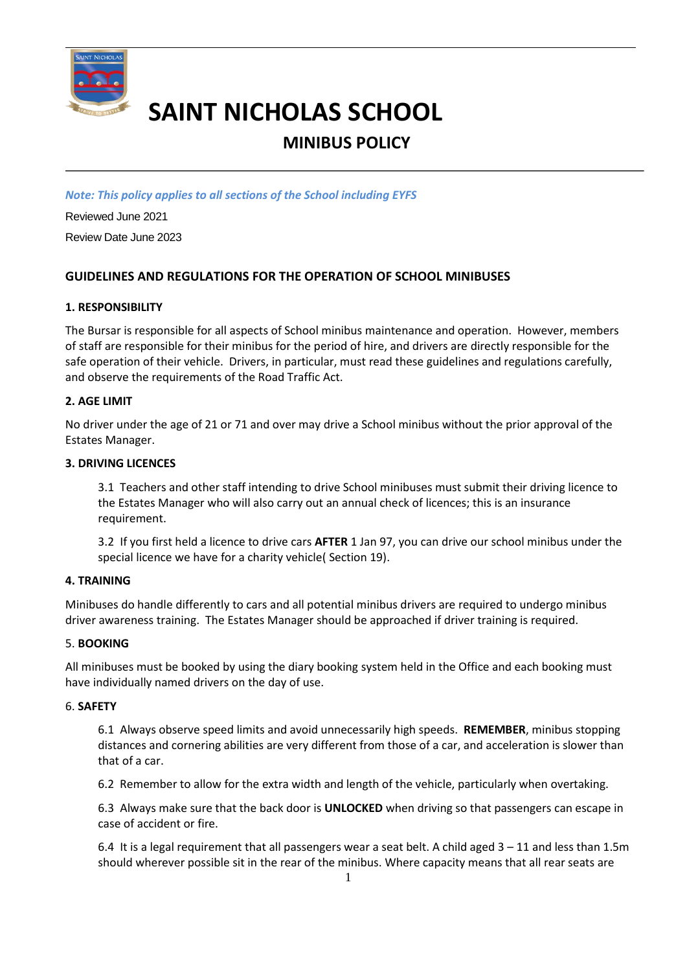

# **SAINT NICHOLAS SCHOOL**

## **MINIBUS POLICY**

*Note: This policy applies to all sections of the School including EYFS*

Reviewed June 2021 Review Date June 2023

### **GUIDELINES AND REGULATIONS FOR THE OPERATION OF SCHOOL MINIBUSES**

#### **1. RESPONSIBILITY**

The Bursar is responsible for all aspects of School minibus maintenance and operation. However, members of staff are responsible for their minibus for the period of hire, and drivers are directly responsible for the safe operation of their vehicle. Drivers, in particular, must read these guidelines and regulations carefully, and observe the requirements of the Road Traffic Act.

#### **2. AGE LIMIT**

No driver under the age of 21 or 71 and over may drive a School minibus without the prior approval of the Estates Manager.

#### **3. DRIVING LICENCES**

3.1 Teachers and other staff intending to drive School minibuses must submit their driving licence to the Estates Manager who will also carry out an annual check of licences; this is an insurance requirement.

3.2 If you first held a licence to drive cars **AFTER** 1 Jan 97, you can drive our school minibus under the special licence we have for a charity vehicle( Section 19).

#### **4. TRAINING**

Minibuses do handle differently to cars and all potential minibus drivers are required to undergo minibus driver awareness training. The Estates Manager should be approached if driver training is required.

#### 5. **BOOKING**

All minibuses must be booked by using the diary booking system held in the Office and each booking must have individually named drivers on the day of use.

#### 6. **SAFETY**

6.1 Always observe speed limits and avoid unnecessarily high speeds. **REMEMBER**, minibus stopping distances and cornering abilities are very different from those of a car, and acceleration is slower than that of a car.

6.2 Remember to allow for the extra width and length of the vehicle, particularly when overtaking.

6.3 Always make sure that the back door is **UNLOCKED** when driving so that passengers can escape in case of accident or fire.

6.4 It is a legal requirement that all passengers wear a seat belt. A child aged 3 – 11 and less than 1.5m should wherever possible sit in the rear of the minibus. Where capacity means that all rear seats are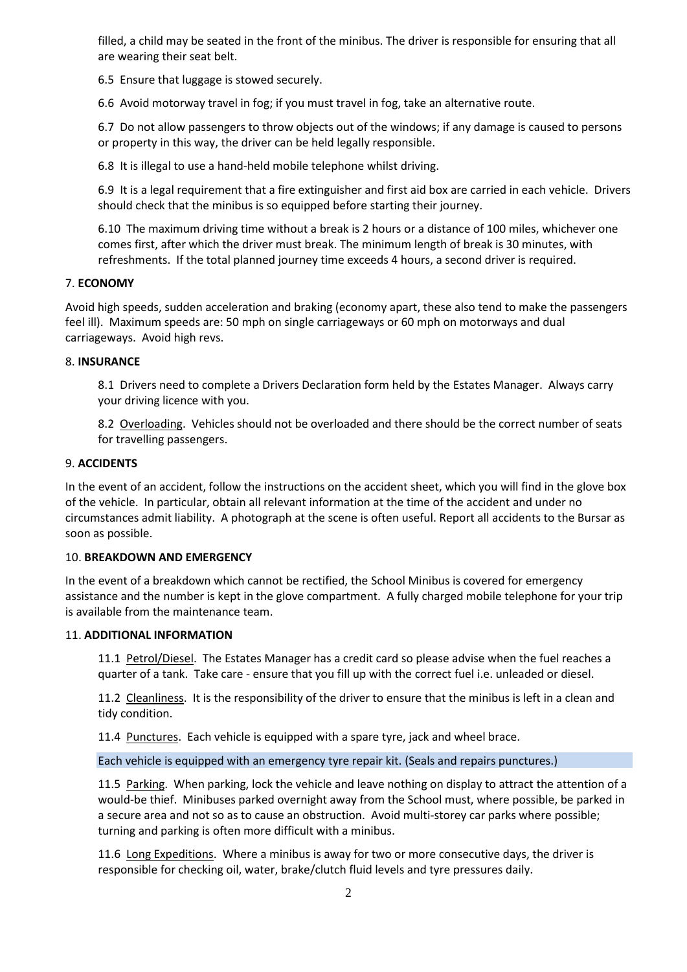filled, a child may be seated in the front of the minibus. The driver is responsible for ensuring that all are wearing their seat belt.

6.5 Ensure that luggage is stowed securely.

6.6 Avoid motorway travel in fog; if you must travel in fog, take an alternative route.

6.7 Do not allow passengers to throw objects out of the windows; if any damage is caused to persons or property in this way, the driver can be held legally responsible.

6.8 It is illegal to use a hand-held mobile telephone whilst driving.

6.9 It is a legal requirement that a fire extinguisher and first aid box are carried in each vehicle. Drivers should check that the minibus is so equipped before starting their journey.

6.10 The maximum driving time without a break is 2 hours or a distance of 100 miles, whichever one comes first, after which the driver must break. The minimum length of break is 30 minutes, with refreshments. If the total planned journey time exceeds 4 hours, a second driver is required.

#### 7. **ECONOMY**

Avoid high speeds, sudden acceleration and braking (economy apart, these also tend to make the passengers feel ill). Maximum speeds are: 50 mph on single carriageways or 60 mph on motorways and dual carriageways. Avoid high revs.

#### 8. **INSURANCE**

8.1 Drivers need to complete a Drivers Declaration form held by the Estates Manager. Always carry your driving licence with you.

8.2 Overloading. Vehicles should not be overloaded and there should be the correct number of seats for travelling passengers.

#### 9. **ACCIDENTS**

In the event of an accident, follow the instructions on the accident sheet, which you will find in the glove box of the vehicle. In particular, obtain all relevant information at the time of the accident and under no circumstances admit liability. A photograph at the scene is often useful. Report all accidents to the Bursar as soon as possible.

#### 10. **BREAKDOWN AND EMERGENCY**

In the event of a breakdown which cannot be rectified, the School Minibus is covered for emergency assistance and the number is kept in the glove compartment. A fully charged mobile telephone for your trip is available from the maintenance team.

#### 11. **ADDITIONAL INFORMATION**

11.1 Petrol/Diesel. The Estates Manager has a credit card so please advise when the fuel reaches a quarter of a tank. Take care - ensure that you fill up with the correct fuel i.e. unleaded or diesel.

11.2 Cleanliness. It is the responsibility of the driver to ensure that the minibus is left in a clean and tidy condition.

11.4 Punctures. Each vehicle is equipped with a spare tyre, jack and wheel brace.

Each vehicle is equipped with an emergency tyre repair kit. (Seals and repairs punctures.)

11.5 Parking. When parking, lock the vehicle and leave nothing on display to attract the attention of a would-be thief. Minibuses parked overnight away from the School must, where possible, be parked in a secure area and not so as to cause an obstruction. Avoid multi-storey car parks where possible; turning and parking is often more difficult with a minibus.

11.6 Long Expeditions. Where a minibus is away for two or more consecutive days, the driver is responsible for checking oil, water, brake/clutch fluid levels and tyre pressures daily.